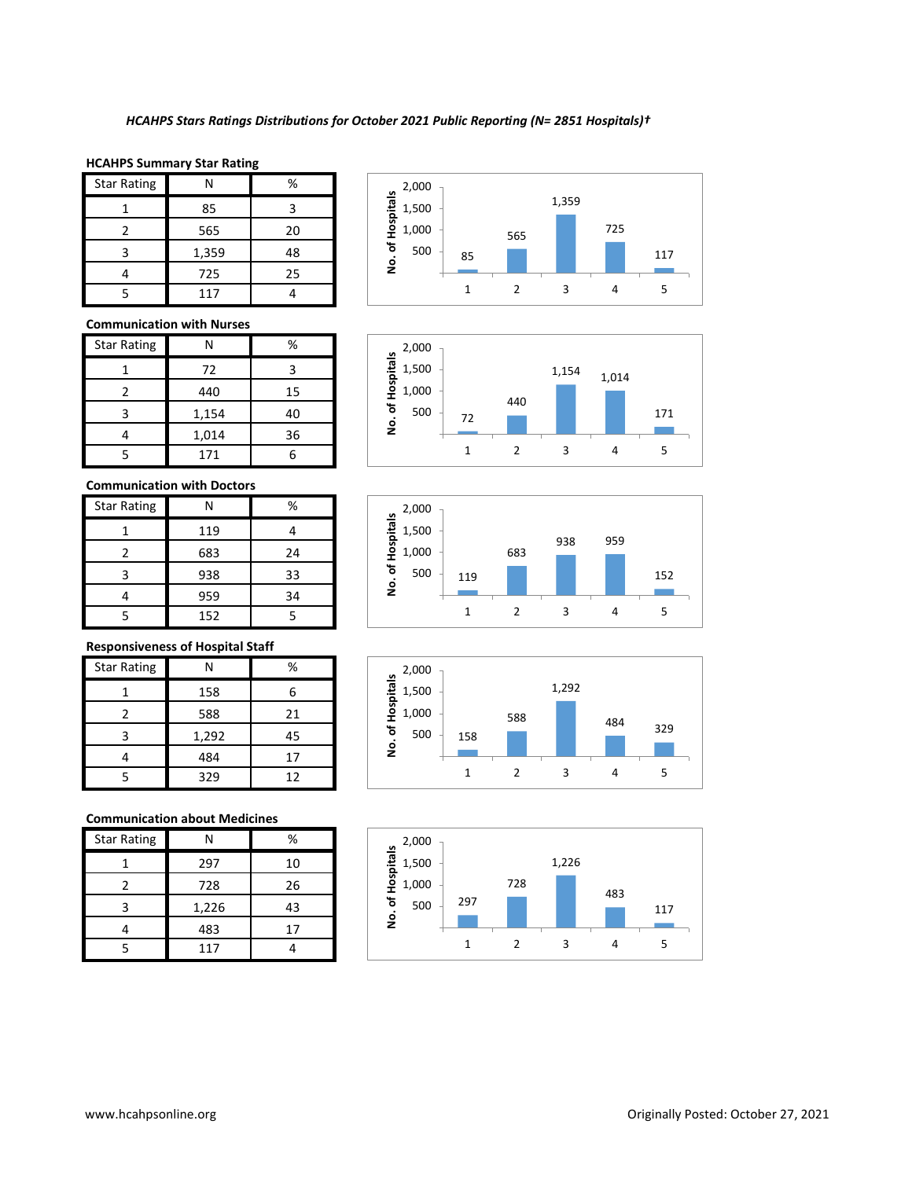#### **HCAHPS Summary Star Rating**

| <b>Star Rating</b> | Ν     | %  |
|--------------------|-------|----|
|                    | 85    | 3  |
| 2                  | 565   | 20 |
| 3                  | 1,359 | 48 |
|                    | 725   | 25 |
|                    | 117   |    |

## **Communication with Nurses**

| <b>Star Rating</b> |       | %  |
|--------------------|-------|----|
|                    | 72    | ર  |
|                    | 440   | 15 |
| ς                  | 1,154 | 40 |
|                    | 1,014 | 36 |
|                    | 171   |    |

# **Communication with Doctors**

| <b>Star Rating</b> |     | %  |
|--------------------|-----|----|
|                    | 119 |    |
|                    | 683 | 24 |
| 3                  | 938 | 33 |
|                    | 959 | 34 |
|                    | 152 |    |

# **Responsiveness of Hospital Staff**

| <b>Star Rating</b> | N     | %  |
|--------------------|-------|----|
|                    | 158   |    |
|                    | 588   | 21 |
|                    | 1,292 | 45 |
|                    | 484   | 17 |
|                    | 329   | 12 |

# **Communication about Medicines**

| <b>Star Rating</b> | Ν     | %  |
|--------------------|-------|----|
|                    | 297   | 10 |
| 2                  | 728   | 26 |
| 3                  | 1,226 | 43 |
|                    | 483   | 17 |
| ς                  | 117   |    |









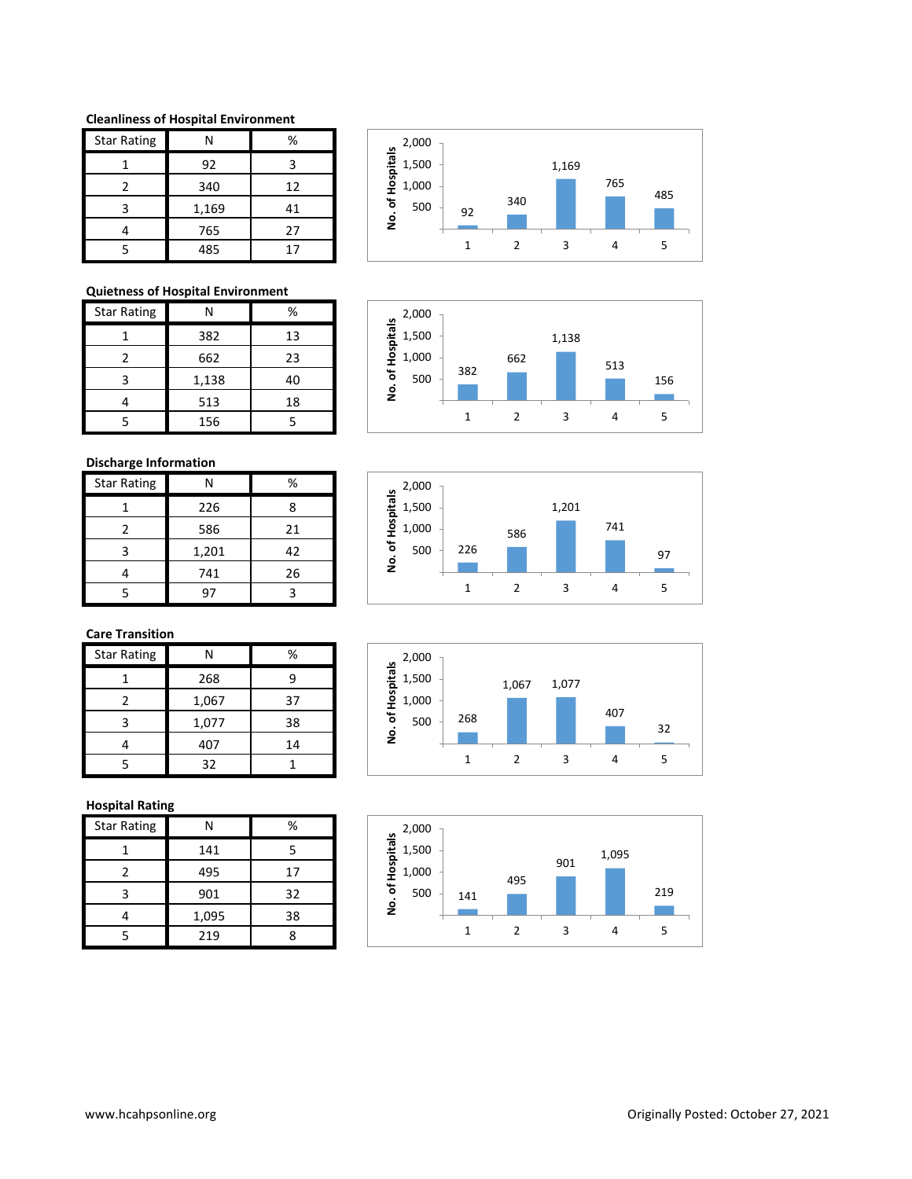#### **Cleanliness of Hospital Environment**

| <b>Star Rating</b> | N     | %  |
|--------------------|-------|----|
|                    | 92    | з  |
|                    | 340   | 12 |
| ς                  | 1,169 | 41 |
|                    | 765   | 27 |
|                    | 485   | 17 |



662

 $500 - 156$ 

1,138

1 2 3 4 5

513

## **Quietness of Hospital Environment**

| <b>Star Rating</b> |       | %  |
|--------------------|-------|----|
|                    | 382   | 13 |
|                    | 662   | 23 |
| 3                  | 1,138 | 40 |
|                    | 513   | 18 |
|                    | 156   |    |



| <b>Star Rating</b> | N     | %  |
|--------------------|-------|----|
|                    | 226   | 8  |
|                    | 586   | 21 |
| 3                  | 1,201 | 42 |
|                    | 741   | 26 |
|                    | 97    | ٦  |





382

1,000 1,500 2,000

**No. of Hospitals**

# **Care Transition**

| <b>Star Rating</b> | N     | %  |
|--------------------|-------|----|
|                    | 268   | g  |
|                    | 1,067 | 37 |
| ς                  | 1,077 | 38 |
|                    | 407   | 14 |
|                    | 32    |    |

# **Hospital Rating**

| <b>Star Rating</b> |       | %  |
|--------------------|-------|----|
|                    | 141   |    |
| 2                  | 495   | 17 |
| ว                  | 901   | 32 |
|                    | 1,095 | 38 |
|                    | 219   |    |